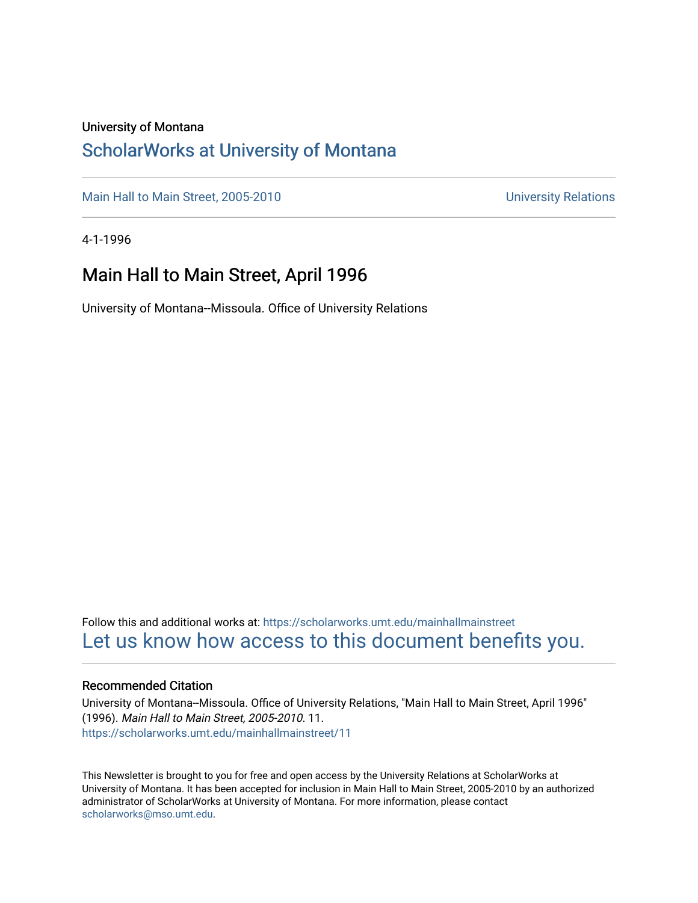### University of Montana

### [ScholarWorks at University of Montana](https://scholarworks.umt.edu/)

[Main Hall to Main Street, 2005-2010](https://scholarworks.umt.edu/mainhallmainstreet) Main Hall to Main Street, 2005-2010

4-1-1996

### Main Hall to Main Street, April 1996

University of Montana--Missoula. Office of University Relations

Follow this and additional works at: [https://scholarworks.umt.edu/mainhallmainstreet](https://scholarworks.umt.edu/mainhallmainstreet?utm_source=scholarworks.umt.edu%2Fmainhallmainstreet%2F11&utm_medium=PDF&utm_campaign=PDFCoverPages) [Let us know how access to this document benefits you.](https://goo.gl/forms/s2rGfXOLzz71qgsB2) 

### Recommended Citation

University of Montana--Missoula. Office of University Relations, "Main Hall to Main Street, April 1996" (1996). Main Hall to Main Street, 2005-2010. 11. [https://scholarworks.umt.edu/mainhallmainstreet/11](https://scholarworks.umt.edu/mainhallmainstreet/11?utm_source=scholarworks.umt.edu%2Fmainhallmainstreet%2F11&utm_medium=PDF&utm_campaign=PDFCoverPages) 

This Newsletter is brought to you for free and open access by the University Relations at ScholarWorks at University of Montana. It has been accepted for inclusion in Main Hall to Main Street, 2005-2010 by an authorized administrator of ScholarWorks at University of Montana. For more information, please contact [scholarworks@mso.umt.edu.](mailto:scholarworks@mso.umt.edu)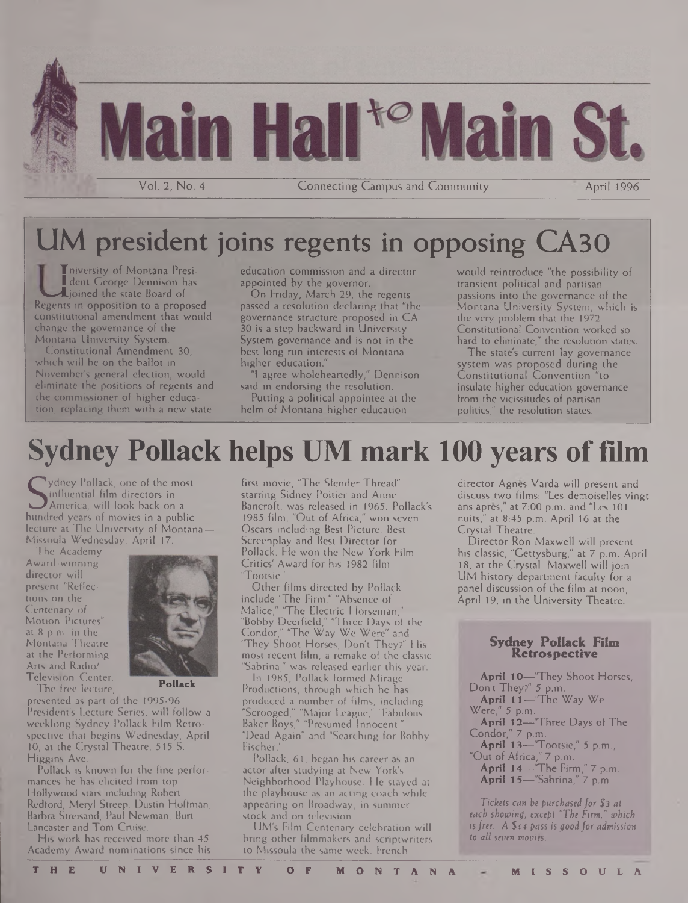

## UM president joins regents in opposing CA30

Tniversity of Montana Presi-**I** dent George Dennison has Lioined the state Board of Regents in opposition to a proposed constitutional amendment that would change the governance of the Montana University System.

Constitutional Amendment 30, which will be on the ballot in November's general election, would eliminate the positions of regents and the Commissioner of higher education; replacing them with a new state

education commission and a director appointed by the governor.

On Friday, March 29, the regents passed a resolution declaring that "the governance structure proposed in CA 30 is a step backward in University System governance and is not in the best long run interests of Montana higher education."

"<sup>I</sup> agree wholeheartedly," Dennison said in endorsing the resolution. Putting a political appointee at the

helm of Montana higher education

would reintroduce "the possibility of transient political and partisan passions into the governance of the Montana University System, which is the very problem that the 1972 Constitutional Convention worked so hard to eliminate," the resolution states.

The state's current lay governance system was proposed during the Constitutional Convention "to insulate higher education governance from the vicissitudes of partisan politics," the resolution states.

# **Sydney Pollack helps UM mark 100 years of film**

**S**influential film directors in<br>America, will look back on<br>hundred years of movies in a pu ydney Pollack, one of the most America, will look back on a hundred years of movies in a public lecture at The University of Montana— Missoula Wednesday, April 17.

The Academy Award-winning director will present "Reflections on the Centenary of Motion Pictures" at 8 p.m. in the Montana Theatre at the Performing Arts and Radio/ Television Center.



The free lecture,

presented as part of the 1995-96 President's Lecture Series, will follow a weeklong Sydney Pollack Film Retrospective that begins Wednesday, April 10, at the Crystal Theatre, 515 S. Higgins Ave.

Pollack is known for the fine performances he has elicited from top Hollywood stars including Robert Redford, Meryl Streep, Dustin Hoffman, Barbra Streisand, Paul Newman, Burt Lancaster and Tom Cruise.

His work has received more than 45 Academy Award nominations since his first movie, "The Slender Thread" starring Sidney Poitier and Anne Bancroft, was released in 1965. Pollack's 1985 film, "Out of Africa," won seven Oscars including Best Picture, Best Screenplay and Best Director for Pollack. He won the New York Film Critics' Award for his 1982 film "Tootsie.

Other films directed by Pollack include 'The Firm," "Absence of Malice," "The Electric Horseman," "Bobby Deerfield," 'Three Days of the Condor," 'The Way We Were" and They Shoot Horses, Don't They?" His most recent film, a remake of the classic "Sabrina," was released earlier this year.

In 1985, Pollack formed Mirage Productions, through which he has produced a number of films, including "Scrooged," "Major League," "Fabulous Baker Boys," "Presumed Innocent," "Dead Again" and "Searching for Bobby Fischer.

Pollack, 61, began his career as an actor after studying at New York's Neighborhood Playhouse. He stayed at the playhouse as an acting coach while appearing on Broadway, in summer stock and on television.

UM's Film Centenary celebration will bring other filmmakers and scriptwriters to Missoula the same week. French

director Agnes Varda will present and discuss two films: "Les demoiselles vingt ans apres," at 7:00 p.m. and "Les 101 nuits," at 8:45 p.m. April 16 at the Crystal Theatre.

Director Ron Maxwell will present his classic, "Gettysburg," at 7 p.m. April 18, at the Crystal. Maxwell will join UM history department faculty for a panel discussion of the film at noon, April 19, in the University Theatre.

### **Sydney Pollack Film Retrospective**

**April tO—**'They Shoot Horses, Don't They?" 5 p.m. **April 11—**"The Way We Were," 5 p.m.

- **April 1**2—'Three Days of The
- Condor," 7 p.m.
- **April 13—**'Tootsie," 5 p.m.,'
- "Out of Africa," 7 p.m.
	- **April 14—**"The Firm," 7 p.m. **April 15—**"Sabrina," 7 p.m.

*Tickets can be purchased for \$3 at each showing, except "The Firm," which isfree. A \$14 pass is goodfor admission to all seven movies.*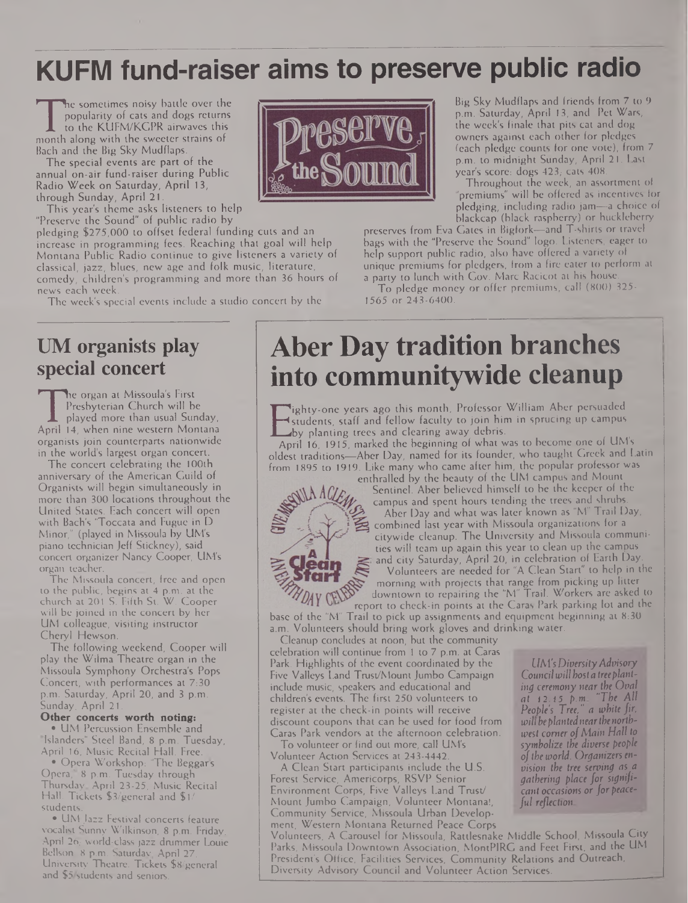## **KUFM fund-raiser aims to preserve public radio**

popularity of cats and dogs returns<br>to the KUFM/KGPR airwaves this<br>month along with the sweeter strains of<br>Bach and the Big Sky Mudflaps. he sometimes noisy battle over the popularity of cats and dogs returns to the KUFM/KCPR airwaves this Bach and the Big Sky Mudflaps.

The special events are part of the annual on-air fund-raiser during Public Radio Week on Saturday, April 13, through Sunday, April 21.

This year's theme asks listeners to help "Preserve the Sound" of public radio by

pledging \$275,000 to offset federal funding cuts and an increase in programming fees. Reaching that goal will help Montana Public Radio continue to give listeners a variety of classical, jazz, blues, new age and folk music, literature, comedy, children's programming and more than 36 hours of news each week.

The week's special events include a studio concert by the

### **UM organists play special concert**

Free Organ at Missouri's Thist<br>Presbyterian Church will be<br>played more than usual Sunday,<br>April 14, when nine western Montana<br>organists ioin counterparts nationwide he organ at Missoula's First Presbyterian Church will be played more than usual Sunday, organists join counterparts nationwide in the world's largest organ concert.

The concert celebrating the 100th anniversary of the American Guild of Organists will begin simultaneously in more than 300 locations throughout the United States. Each concert will open with Bach's 'Toccata and Fugue in D Minor," (played in Missoula by UM's piano technician Jeff Stickney), said concert organizer Nancy Cooper, UM's organ teacher.

The Missoula concert, free and open to the public, begins at 4 p.m. at the church at 201 S. Fifth St. W. Cooper will be joined in the concert by her UM colleague, visiting instructor Cheryl Hewson.

The following weekend, Cooper will play the Wilma Theatre organ in the Missoula Symphony Orchestra's Pops Concert, with performances at 7:30 p.m. Saturday, April 20, and 3 p.m. .<br>Sunday, April 21.

### **Other concerts worth noting:**

• UM Percussion Ensemble and "Islanders" Steel Band, 8 p.m. Tuesday, April 16, Music Recital Hall. Free.

• Opera Workshop: "The Beggars Opera," 8 p.m. Tuesday through Thursday, April 23-25, Music Recital Hall. Tickets \$3/general and \$1/ students.

• UM Jazz Festival concerts feature vocalist Sunny Wilkinson, 8 p.m. Friday, April 26; world-class jazz drummer Louie Bellson, 8 p.m. Saturday, April 27, University Theatre. Tickets \$8/general and \$5/students and seniors.



Big Sky Mudflaps and friends from 7 to 9 p.m. Saturday, April 13, and Pct Wars, the week's finale that pits cat and dog owners against each other for pledges (each pledge counts for one vote), from 7 p.m. to midnight Sunday, April 21. Last year's score: dogs 423; cats 408.

Throughout the week, an assortment of "premiums" will be offered as incentives for pledging, including radio jam—a choice of blackcap (black raspberry) or huckleberry

preserves from Eva Gates in Bigfork—and T-shirts or travel bags with the "Preserve the Sound" logo. Listeners, eager to help support public radio, also have offered a variety of unique premiums for pledgers, from a fire eater to perform at a party to lunch with Gov. Marc Racicot at his house.

To pledge money or offer premiums, call (800) 325- 1565 or 243-6400.

## **Aber Day tradition branches into communitywide cleanup**

Existents, staff and fellow faculty to join him in sprucing up campus<br>by planting trees and clearing away debris.<br>April 16, 1915, marked the beginning of what was to become one of UM's ighty-one years ago this month, Professor William Aber persuaded students, staff and fellow faculty to join him in sprucing up campus by planting trees and clearing away debris.

oldest traditions—Aber Day, named for its founder, who taught Greek and Latin from 1895 to 1919. Like many who came after him, the popular professor was



enthralled by the beauty of the UM campus and Mount Sentinel. Aber believed himself to be the keeper of the campus and spent hours tending the trees and shrubs. Aber Day and what was later known as "M" Trail Day, combined last year with Missoula organizations for a citywide cleanup. The University and Missoula communities will team up again this year to clean up the campus and city Saturday, April 20, in celebration of Earth Day.

Volunteers are needed for "A Clean Start" to help in the morning with projects that range from picking up litter downtown to repairing the "M" Trail. Workers are asked to report to check-in points at the Caras Park parking lot and the

base of the "M" Trail to pick up assignments and equipment beginning at 8:30 a.m. Volunteers should bring work gloves and drinking water.

Cleanup concludes at noon, but the community celebration will continue from <sup>1</sup> to 7 p.m. at Caras Park. Highlights of the event coordinated by the Five Valleys Land Trust/Mount Jumbo Campaign include music, speakers and educational and children's events. The first 250 volunteers to register at the check-in points will receive discount coupons that can be used for food from Caras Park vendors at the afternoon celebration.

To volunteer or find out more, call UM's Volunteer Action Services at 243-4442.

A Clean Start participants include the U.S. Forest Service, Americorps, RSVP Senior Environment Corps, Five Valleys Land Trust/ Mount Jumbo Campaign, Volunteer Montana!, Community Service, Missoula Urban Development, Western Montana Returned Peace Corps

Volunteers, A Carousel for Missoula, Rattlesnake Middle School, Missoula City Parks, Missoula Downtown Association, MontPIRG and Feet First, and the UM President's Office, Facilities Services, Community Relations and Outreach, Diversity Advisory Council and Volunteer Action Services.

*UM'sDiversityAdvisory Councilwill host a treeplanting ceremony near the Oval at* 12.15 *p.m. "The All People's Tree," a white fir, will be plantednearthenorthwest comer ofMain Hall to symbolize the diverse people ofthe world. Organizers envision the tree serving as a gathering place for significant occasions orforpeaceful reflection*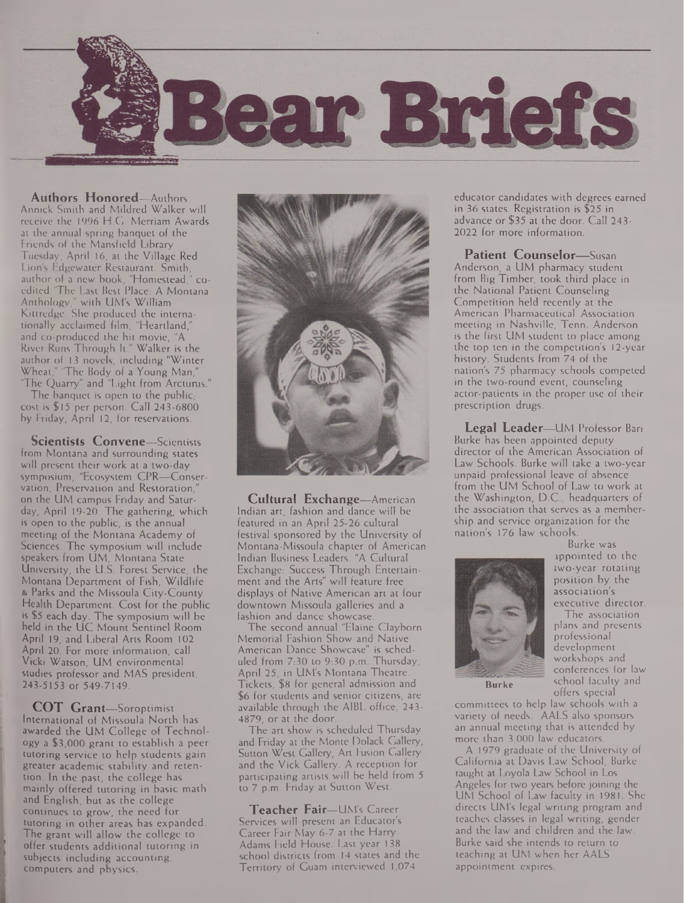

**Authors Honored—**Authors Annick Smith and Mildred Walker will receive the 1996 H.G. Merriam Awards at the annual spring banquet of the Friends of the Mansfield Library Tuesday, April 16, at the Village Red Lion's Edgewater Restaurant. Smith, author of a new book, "Homestead," coedited 'The Last Best Place: A Montana Anthology," with UM's William Kittredge. She produced the internationally acclaimed film, "Heartland," and co-produced the hit movie, "A River Runs Through It." Walker is the author of 13 novels, including "Winter Wheat," 'The Body of a Young Man," 'The Quarry" and "Light from Arcturus."

The banquet is open to the public, cost is \$15 per person. Call 243-6800 by Friday, April 12, for reservations.

**Scientists Convene—**Scientists from Montana and surrounding states will present their work at a two-day symposium, "Ecosystem CPR—Conservation, Preservation and Restoration," on the UM campus Friday and Saturday, April 19-20. The gathering, which is open to the public, is the annual meeting of the Montana Academy of Sciences. The symposium will include speakers from UM, Montana State University, the U.S. Forest Service, the Montana Department of Fish, Wildlife & Parks and the Missoula City-County Health Department. Cost for the public is \$5 each day. The symposium will be held in the UC Mount Sentinel Room April 19, and Liberal Arts Room 102 April 20. For more information, call Vicki Watson, UM environmental studies professor and MAS president, 243-5153 or 549-7149.

**COT Grant—**Soroptimist International of Missoula North has awarded the UM College of Technology a \$3,000 grant to establish a peer tutoring service to help students gain greater academic stability and retention. In the past, the college has mainly offered tutoring in basic math and English, but as the college continues to grow, the need for tutoring in other areas has expanded. The grant will allow the college to offer students additional tutoring in subjects including accounting, computers and physics.



**Cultural Exchange—**American Indian art, fashion and dance will be featured in an April 25-26 cultural festival sponsored by the University of Montana-Missoula chapter of American Indian Business Leaders. "A Cultural Exchange: Success Through Entertainment and the Arts" will feature free displays of Native American art at four downtown Missoula galleries and a fashion and dance showcase.

The second annual "Elaine Clayborn Memorial Fashion Show and Native American Dance Showcase" is scheduled from 7:30 to 9:30 p.m. Thursday, April 25, in UM's Montana Theatre. Tickets, \$8 for general admission and \$6 for students and senior citizens, are available through the A1BL office, 243- 4879, or at the door.

The art show is scheduled Thursday and Friday at the Monte Dolack Gallery, Sutton West Gallery, Art Fusion Gallery and the Vick Gallery. A reception for participating artists will be held from 5 to 7 p.m. Friday at Sutton West.

**Teacher Fair—**UM's Career Services will present an Educator's Career Fair May 6-7 at the Harry Adams Field House. Last year 138 school districts from 14 states and the Territory of Guam interviewed 1,074

educator candidates with degrees earned in 36 states. Registration is \$25 in advance or \$35 at the door. Call 243- 2022 for more information.

**Patient Counselor—**Susan Anderson, a UM pharmacy student from Big Timber, took third place in the National Patient Counseling Competition held recently at the American Pharmaceutical Association

meeting in Nashville, Tenn. Anderson is the first UM student to place among the top ten in the competition's 12-year history. Students from 74 of the nation's 75 pharmacy schools competed in the two-round event, counseling actor-patients in the proper use of their prescription drugs.

**Legal Leader—**UM Professor Bari Burke has been appointed deputy director of the American Association of Law Schools. Burke will take a two-year unpaid professional leave of absence from the UM School of Law to work at the Washington, D.C., headquarters of the association that serves as a membership and service organization for the nation's 176 law schools.



Burke was appointed to the two-year rotating position by the association's executive director.

The association plans and presents professional development workshops and conferences for law school faculty and offers special

**Burke**

committees to help law schools with a variety of needs. AALS also sponsors an annual meeting that is attended by more than 3,000 law educators.

A 1979 graduate of the University of California at Davis Law School, Burke taught at Loyola Law School in Los Angeles for two years before joining the UM School of Law faculty in 1981. She directs UM's legal writing program and teaches classes in legal writing, gender and the law and children and the law. Burke said she intends to return to teaching at UM when her AALS appointment expires.